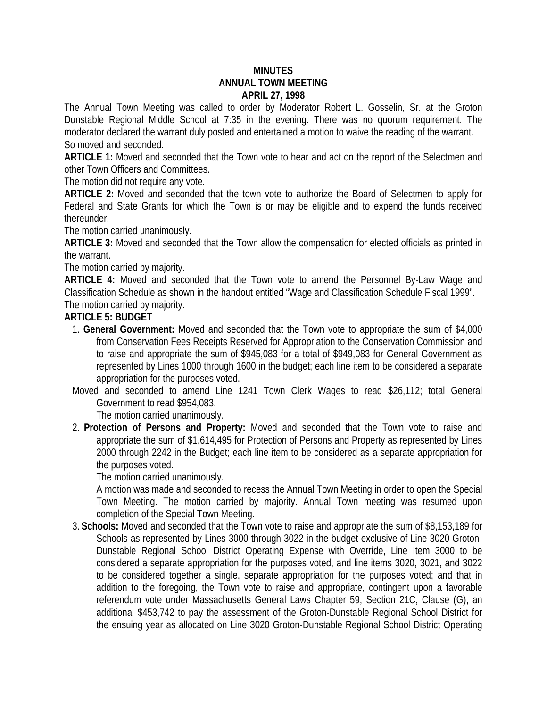## **MINUTES ANNUAL TOWN MEETING APRIL 27, 1998**

The Annual Town Meeting was called to order by Moderator Robert L. Gosselin, Sr. at the Groton Dunstable Regional Middle School at 7:35 in the evening. There was no quorum requirement. The moderator declared the warrant duly posted and entertained a motion to waive the reading of the warrant. So moved and seconded.

**ARTICLE 1:** Moved and seconded that the Town vote to hear and act on the report of the Selectmen and other Town Officers and Committees.

The motion did not require any vote.

**ARTICLE 2:** Moved and seconded that the town vote to authorize the Board of Selectmen to apply for Federal and State Grants for which the Town is or may be eligible and to expend the funds received thereunder.

The motion carried unanimously.

**ARTICLE 3:** Moved and seconded that the Town allow the compensation for elected officials as printed in the warrant.

The motion carried by majority.

**ARTICLE 4:** Moved and seconded that the Town vote to amend the Personnel By-Law Wage and Classification Schedule as shown in the handout entitled "Wage and Classification Schedule Fiscal 1999". The motion carried by majority.

## **ARTICLE 5: BUDGET**

- 1. **General Government:** Moved and seconded that the Town vote to appropriate the sum of \$4,000 from Conservation Fees Receipts Reserved for Appropriation to the Conservation Commission and to raise and appropriate the sum of \$945,083 for a total of \$949,083 for General Government as represented by Lines 1000 through 1600 in the budget; each line item to be considered a separate appropriation for the purposes voted.
- Moved and seconded to amend Line 1241 Town Clerk Wages to read \$26,112; total General Government to read \$954,083.

The motion carried unanimously.

2. **Protection of Persons and Property:** Moved and seconded that the Town vote to raise and appropriate the sum of \$1,614,495 for Protection of Persons and Property as represented by Lines 2000 through 2242 in the Budget; each line item to be considered as a separate appropriation for the purposes voted.

The motion carried unanimously.

A motion was made and seconded to recess the Annual Town Meeting in order to open the Special Town Meeting. The motion carried by majority. Annual Town meeting was resumed upon completion of the Special Town Meeting.

3. **Schools:** Moved and seconded that the Town vote to raise and appropriate the sum of \$8,153,189 for Schools as represented by Lines 3000 through 3022 in the budget exclusive of Line 3020 Groton-Dunstable Regional School District Operating Expense with Override, Line Item 3000 to be considered a separate appropriation for the purposes voted, and line items 3020, 3021, and 3022 to be considered together a single, separate appropriation for the purposes voted; and that in addition to the foregoing, the Town vote to raise and appropriate, contingent upon a favorable referendum vote under Massachusetts General Laws Chapter 59, Section 21C, Clause (G), an additional \$453,742 to pay the assessment of the Groton-Dunstable Regional School District for the ensuing year as allocated on Line 3020 Groton-Dunstable Regional School District Operating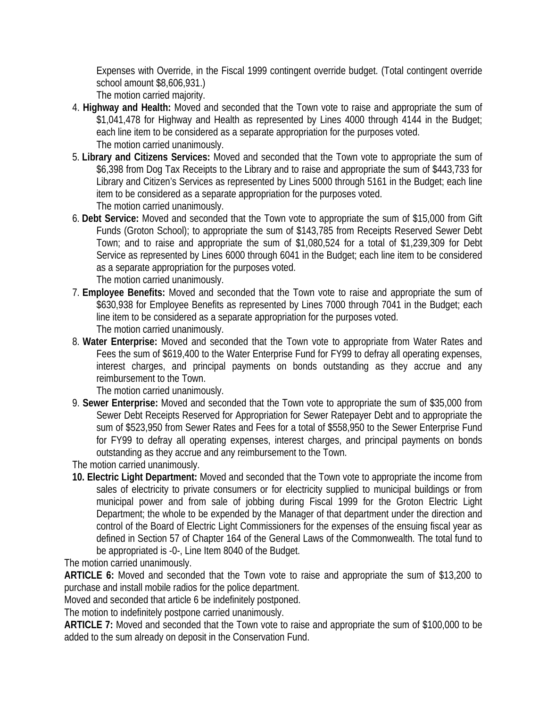Expenses with Override, in the Fiscal 1999 contingent override budget. (Total contingent override school amount \$8,606,931.)

The motion carried majority.

- 4. **Highway and Health:** Moved and seconded that the Town vote to raise and appropriate the sum of \$1,041,478 for Highway and Health as represented by Lines 4000 through 4144 in the Budget; each line item to be considered as a separate appropriation for the purposes voted. The motion carried unanimously.
- 5. **Library and Citizens Services:** Moved and seconded that the Town vote to appropriate the sum of \$6,398 from Dog Tax Receipts to the Library and to raise and appropriate the sum of \$443,733 for Library and Citizen's Services as represented by Lines 5000 through 5161 in the Budget; each line item to be considered as a separate appropriation for the purposes voted. The motion carried unanimously.
- 6. **Debt Service:** Moved and seconded that the Town vote to appropriate the sum of \$15,000 from Gift Funds (Groton School); to appropriate the sum of \$143,785 from Receipts Reserved Sewer Debt Town; and to raise and appropriate the sum of \$1,080,524 for a total of \$1,239,309 for Debt Service as represented by Lines 6000 through 6041 in the Budget; each line item to be considered as a separate appropriation for the purposes voted. The motion carried unanimously.
- 7. **Employee Benefits:** Moved and seconded that the Town vote to raise and appropriate the sum of \$630,938 for Employee Benefits as represented by Lines 7000 through 7041 in the Budget; each line item to be considered as a separate appropriation for the purposes voted. The motion carried unanimously.
- 8. **Water Enterprise:** Moved and seconded that the Town vote to appropriate from Water Rates and Fees the sum of \$619,400 to the Water Enterprise Fund for FY99 to defray all operating expenses, interest charges, and principal payments on bonds outstanding as they accrue and any reimbursement to the Town.

The motion carried unanimously.

9. **Sewer Enterprise:** Moved and seconded that the Town vote to appropriate the sum of \$35,000 from Sewer Debt Receipts Reserved for Appropriation for Sewer Ratepayer Debt and to appropriate the sum of \$523,950 from Sewer Rates and Fees for a total of \$558,950 to the Sewer Enterprise Fund for FY99 to defray all operating expenses, interest charges, and principal payments on bonds outstanding as they accrue and any reimbursement to the Town.

The motion carried unanimously.

**10. Electric Light Department:** Moved and seconded that the Town vote to appropriate the income from sales of electricity to private consumers or for electricity supplied to municipal buildings or from municipal power and from sale of jobbing during Fiscal 1999 for the Groton Electric Light Department; the whole to be expended by the Manager of that department under the direction and control of the Board of Electric Light Commissioners for the expenses of the ensuing fiscal year as defined in Section 57 of Chapter 164 of the General Laws of the Commonwealth. The total fund to be appropriated is -0-, Line Item 8040 of the Budget.

The motion carried unanimously.

**ARTICLE 6:** Moved and seconded that the Town vote to raise and appropriate the sum of \$13,200 to purchase and install mobile radios for the police department.

Moved and seconded that article 6 be indefinitely postponed.

The motion to indefinitely postpone carried unanimously.

**ARTICLE 7:** Moved and seconded that the Town vote to raise and appropriate the sum of \$100,000 to be added to the sum already on deposit in the Conservation Fund.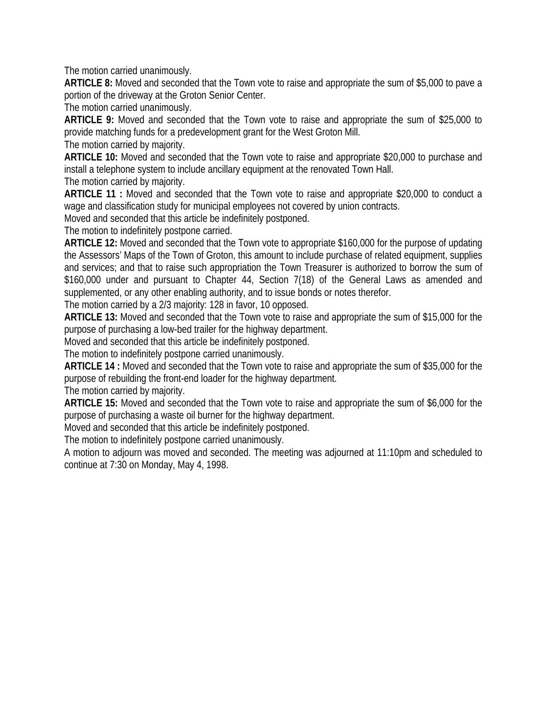The motion carried unanimously.

**ARTICLE 8:** Moved and seconded that the Town vote to raise and appropriate the sum of \$5,000 to pave a portion of the driveway at the Groton Senior Center.

The motion carried unanimously.

**ARTICLE 9:** Moved and seconded that the Town vote to raise and appropriate the sum of \$25,000 to provide matching funds for a predevelopment grant for the West Groton Mill.

The motion carried by majority.

**ARTICLE 10:** Moved and seconded that the Town vote to raise and appropriate \$20,000 to purchase and install a telephone system to include ancillary equipment at the renovated Town Hall.

The motion carried by majority.

**ARTICLE 11 :** Moved and seconded that the Town vote to raise and appropriate \$20,000 to conduct a wage and classification study for municipal employees not covered by union contracts.

Moved and seconded that this article be indefinitely postponed.

The motion to indefinitely postpone carried.

**ARTICLE 12:** Moved and seconded that the Town vote to appropriate \$160,000 for the purpose of updating the Assessors' Maps of the Town of Groton, this amount to include purchase of related equipment, supplies and services; and that to raise such appropriation the Town Treasurer is authorized to borrow the sum of \$160,000 under and pursuant to Chapter 44, Section 7(18) of the General Laws as amended and supplemented, or any other enabling authority, and to issue bonds or notes therefor.

The motion carried by a 2/3 majority: 128 in favor, 10 opposed.

**ARTICLE 13:** Moved and seconded that the Town vote to raise and appropriate the sum of \$15,000 for the purpose of purchasing a low-bed trailer for the highway department.

Moved and seconded that this article be indefinitely postponed.

The motion to indefinitely postpone carried unanimously.

**ARTICLE 14 :** Moved and seconded that the Town vote to raise and appropriate the sum of \$35,000 for the purpose of rebuilding the front-end loader for the highway department.

The motion carried by majority.

**ARTICLE 15:** Moved and seconded that the Town vote to raise and appropriate the sum of \$6,000 for the purpose of purchasing a waste oil burner for the highway department.

Moved and seconded that this article be indefinitely postponed.

The motion to indefinitely postpone carried unanimously.

A motion to adjourn was moved and seconded. The meeting was adjourned at 11:10pm and scheduled to continue at 7:30 on Monday, May 4, 1998.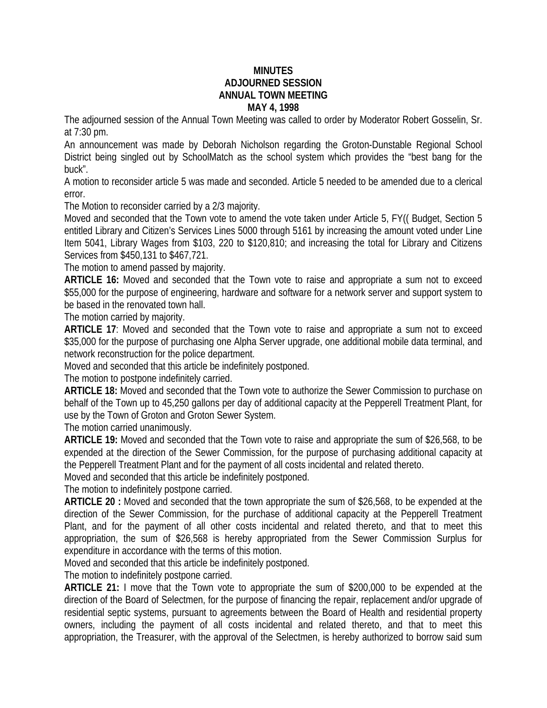## **MINUTES ADJOURNED SESSION ANNUAL TOWN MEETING MAY 4, 1998**

The adjourned session of the Annual Town Meeting was called to order by Moderator Robert Gosselin, Sr. at 7:30 pm.

An announcement was made by Deborah Nicholson regarding the Groton-Dunstable Regional School District being singled out by SchoolMatch as the school system which provides the "best bang for the buck".

A motion to reconsider article 5 was made and seconded. Article 5 needed to be amended due to a clerical error.

The Motion to reconsider carried by a 2/3 majority.

Moved and seconded that the Town vote to amend the vote taken under Article 5, FY(( Budget, Section 5 entitled Library and Citizen's Services Lines 5000 through 5161 by increasing the amount voted under Line Item 5041, Library Wages from \$103, 220 to \$120,810; and increasing the total for Library and Citizens Services from \$450,131 to \$467,721.

The motion to amend passed by majority.

**ARTICLE 16:** Moved and seconded that the Town vote to raise and appropriate a sum not to exceed \$55,000 for the purpose of engineering, hardware and software for a network server and support system to be based in the renovated town hall.

The motion carried by majority.

**ARTICLE 17**: Moved and seconded that the Town vote to raise and appropriate a sum not to exceed \$35,000 for the purpose of purchasing one Alpha Server upgrade, one additional mobile data terminal, and network reconstruction for the police department.

Moved and seconded that this article be indefinitely postponed.

The motion to postpone indefinitely carried.

**ARTICLE 18:** Moved and seconded that the Town vote to authorize the Sewer Commission to purchase on behalf of the Town up to 45,250 gallons per day of additional capacity at the Pepperell Treatment Plant, for use by the Town of Groton and Groton Sewer System.

The motion carried unanimously.

**ARTICLE 19:** Moved and seconded that the Town vote to raise and appropriate the sum of \$26,568, to be expended at the direction of the Sewer Commission, for the purpose of purchasing additional capacity at the Pepperell Treatment Plant and for the payment of all costs incidental and related thereto.

Moved and seconded that this article be indefinitely postponed.

The motion to indefinitely postpone carried.

**ARTICLE 20 :** Moved and seconded that the town appropriate the sum of \$26,568, to be expended at the direction of the Sewer Commission, for the purchase of additional capacity at the Pepperell Treatment Plant, and for the payment of all other costs incidental and related thereto, and that to meet this appropriation, the sum of \$26,568 is hereby appropriated from the Sewer Commission Surplus for expenditure in accordance with the terms of this motion.

Moved and seconded that this article be indefinitely postponed.

The motion to indefinitely postpone carried.

**ARTICLE 21:** I move that the Town vote to appropriate the sum of \$200,000 to be expended at the direction of the Board of Selectmen, for the purpose of financing the repair, replacement and/or upgrade of residential septic systems, pursuant to agreements between the Board of Health and residential property owners, including the payment of all costs incidental and related thereto, and that to meet this appropriation, the Treasurer, with the approval of the Selectmen, is hereby authorized to borrow said sum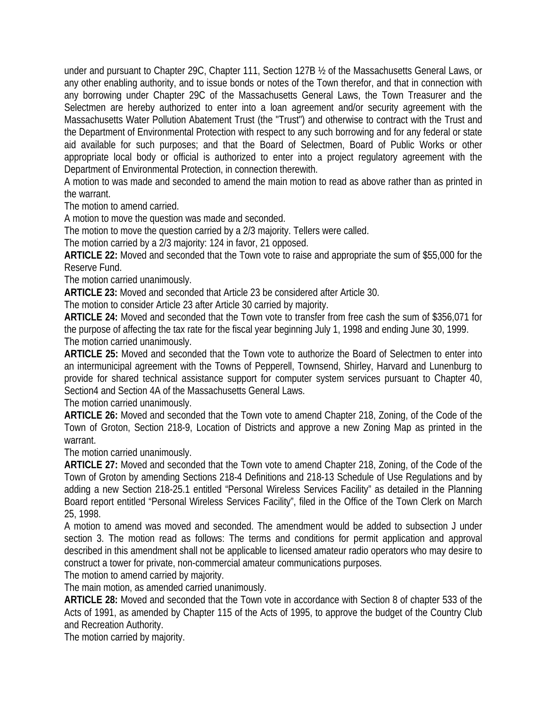under and pursuant to Chapter 29C, Chapter 111, Section 127B ½ of the Massachusetts General Laws, or any other enabling authority, and to issue bonds or notes of the Town therefor, and that in connection with any borrowing under Chapter 29C of the Massachusetts General Laws, the Town Treasurer and the Selectmen are hereby authorized to enter into a loan agreement and/or security agreement with the Massachusetts Water Pollution Abatement Trust (the "Trust") and otherwise to contract with the Trust and the Department of Environmental Protection with respect to any such borrowing and for any federal or state aid available for such purposes; and that the Board of Selectmen, Board of Public Works or other appropriate local body or official is authorized to enter into a project regulatory agreement with the Department of Environmental Protection, in connection therewith.

A motion to was made and seconded to amend the main motion to read as above rather than as printed in the warrant.

The motion to amend carried.

A motion to move the question was made and seconded.

The motion to move the question carried by a 2/3 majority. Tellers were called.

The motion carried by a 2/3 majority: 124 in favor, 21 opposed.

**ARTICLE 22:** Moved and seconded that the Town vote to raise and appropriate the sum of \$55,000 for the Reserve Fund.

The motion carried unanimously.

**ARTICLE 23:** Moved and seconded that Article 23 be considered after Article 30.

The motion to consider Article 23 after Article 30 carried by majority.

**ARTICLE 24:** Moved and seconded that the Town vote to transfer from free cash the sum of \$356,071 for the purpose of affecting the tax rate for the fiscal year beginning July 1, 1998 and ending June 30, 1999. The motion carried unanimously.

**ARTICLE 25:** Moved and seconded that the Town vote to authorize the Board of Selectmen to enter into an intermunicipal agreement with the Towns of Pepperell, Townsend, Shirley, Harvard and Lunenburg to provide for shared technical assistance support for computer system services pursuant to Chapter 40, Section4 and Section 4A of the Massachusetts General Laws.

The motion carried unanimously.

**ARTICLE 26:** Moved and seconded that the Town vote to amend Chapter 218, Zoning, of the Code of the Town of Groton, Section 218-9, Location of Districts and approve a new Zoning Map as printed in the warrant.

The motion carried unanimously.

**ARTICLE 27:** Moved and seconded that the Town vote to amend Chapter 218, Zoning, of the Code of the Town of Groton by amending Sections 218-4 Definitions and 218-13 Schedule of Use Regulations and by adding a new Section 218-25.1 entitled "Personal Wireless Services Facility" as detailed in the Planning Board report entitled "Personal Wireless Services Facility", filed in the Office of the Town Clerk on March 25, 1998.

A motion to amend was moved and seconded. The amendment would be added to subsection J under section 3. The motion read as follows: The terms and conditions for permit application and approval described in this amendment shall not be applicable to licensed amateur radio operators who may desire to construct a tower for private, non-commercial amateur communications purposes.

The motion to amend carried by majority.

The main motion, as amended carried unanimously.

**ARTICLE 28:** Moved and seconded that the Town vote in accordance with Section 8 of chapter 533 of the Acts of 1991, as amended by Chapter 115 of the Acts of 1995, to approve the budget of the Country Club and Recreation Authority.

The motion carried by majority.